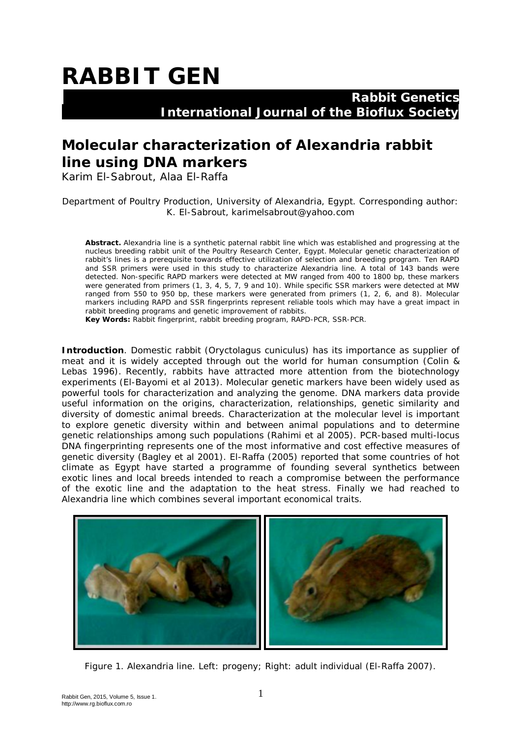# **RABBIT GEN**

 **Rabbit Genetics International Journal of the Bioflux Society**

## **Molecular characterization of Alexandria rabbit line using DNA markers**

Karim El-Sabrout, Alaa El-Raffa

Department of Poultry Production, University of Alexandria, Egypt. Corresponding author: K. El-Sabrout, karimelsabrout@yahoo.com

**Abstract.** Alexandria line is a synthetic paternal rabbit line which was established and progressing at the nucleus breeding rabbit unit of the Poultry Research Center, Egypt. Molecular genetic characterization of rabbit's lines is a prerequisite towards effective utilization of selection and breeding program. Ten RAPD and SSR primers were used in this study to characterize Alexandria line. A total of 143 bands were detected. Non-specific RAPD markers were detected at MW ranged from 400 to 1800 bp, these markers were generated from primers (1, 3, 4, 5, 7, 9 and 10). While specific SSR markers were detected at MW ranged from 550 to 950 bp, these markers were generated from primers (1, 2, 6, and 8). Molecular markers including RAPD and SSR fingerprints represent reliable tools which may have a great impact in rabbit breeding programs and genetic improvement of rabbits.

**Key Words:** Rabbit fingerprint, rabbit breeding program, RAPD-PCR, SSR-PCR.

**Introduction**. Domestic rabbit (*Oryctolagus cuniculus*) has its importance as supplier of meat and it is widely accepted through out the world for human consumption (Colin & Lebas 1996). Recently, rabbits have attracted more attention from the biotechnology experiments (El-Bayomi et al 2013). Molecular genetic markers have been widely used as powerful tools for characterization and analyzing the genome. DNA markers data provide useful information on the origins, characterization, relationships, genetic similarity and diversity of domestic animal breeds. Characterization at the molecular level is important to explore genetic diversity within and between animal populations and to determine genetic relationships among such populations (Rahimi et al 2005). PCR-based multi-locus DNA fingerprinting represents one of the most informative and cost effective measures of genetic diversity (Bagley et al 2001). El-Raffa (2005) reported that some countries of hot climate as Egypt have started a programme of founding several synthetics between exotic lines and local breeds intended to reach a compromise between the performance of the exotic line and the adaptation to the heat stress. Finally we had reached to Alexandria line which combines several important economical traits.



Figure 1. Alexandria line. Left: progeny; Right: adult individual (El-Raffa 2007).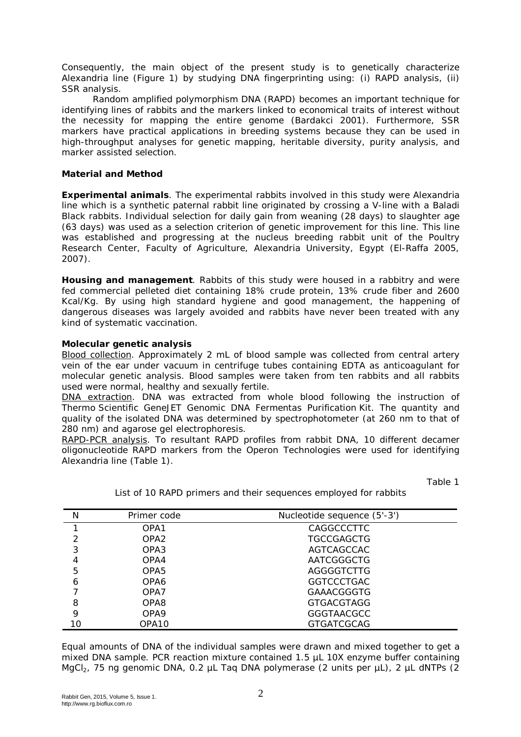Consequently, the main object of the present study is to genetically characterize Alexandria line (Figure 1) by studying DNA fingerprinting using: (i) RAPD analysis, (ii) SSR analysis.

Random amplified polymorphism DNA (RAPD) becomes an important technique for identifying lines of rabbits and the markers linked to economical traits of interest without the necessity for mapping the entire genome (Bardakci 2001). Furthermore, SSR markers have practical applications in breeding systems because they can be used in high-throughput analyses for genetic mapping, heritable diversity, purity analysis, and marker assisted selection.

#### **Material and Method**

*Experimental animals*. The experimental rabbits involved in this study were Alexandria line which is a synthetic paternal rabbit line originated by crossing a V-line with a Baladi Black rabbits. Individual selection for daily gain from weaning (28 days) to slaughter age (63 days) was used as a selection criterion of genetic improvement for this line. This line was established and progressing at the nucleus breeding rabbit unit of the Poultry Research Center, Faculty of Agriculture, Alexandria University, Egypt (El-Raffa 2005, 2007).

*Housing and management*. Rabbits of this study were housed in a rabbitry and were fed commercial pelleted diet containing 18% crude protein, 13% crude fiber and 2600 Kcal/Kg. By using high standard hygiene and good management, the happening of dangerous diseases was largely avoided and rabbits have never been treated with any kind of systematic vaccination.

### *Molecular genetic analysis*

*Blood collection*. Approximately 2 mL of blood sample was collected from central artery vein of the ear under vacuum in centrifuge tubes containing EDTA as anticoagulant for molecular genetic analysis. Blood samples were taken from ten rabbits and all rabbits used were normal, healthy and sexually fertile.

*DNA extraction*. DNA was extracted from whole blood following the instruction of Thermo Scientific GeneJET Genomic DNA Fermentas Purification Kit. The quantity and quality of the isolated DNA was determined by spectrophotometer (at 260 nm to that of 280 nm) and agarose gel electrophoresis.

*RAPD-PCR analysis*. To resultant RAPD profiles from rabbit DNA, 10 different decamer oligonucleotide RAPD markers from the Operon Technologies were used for identifying Alexandria line (Table 1).

Table 1

| List of 10 RAPD primers and their sequences employed for rabbits |  |  |  |
|------------------------------------------------------------------|--|--|--|

| N  | Primer code      | Nucleotide sequence (5'-3') |
|----|------------------|-----------------------------|
|    | OPA1             | CAGGCCCTTC                  |
| 2  | OPA <sub>2</sub> | TGCCGAGCTG                  |
| 3  | OPA3             | AGTCAGCCAC                  |
| 4  | OPA4             | AATCGGGCTG                  |
| 5  | OPA <sub>5</sub> | AGGGGTCTTG                  |
| 6  | OPA6             | <b>GGTCCCTGAC</b>           |
|    | OPA7             | GAAACGGGTG                  |
| 8  | OPA8             | <b>GTGACGTAGG</b>           |
| 9  | OPA <sub>9</sub> | <b>GGGTAACGCC</b>           |
| 10 | OPA10            | <b>GTGATCGCAG</b>           |

Equal amounts of DNA of the individual samples were drawn and mixed together to get a mixed DNA sample. PCR reaction mixture contained 1.5 µL 10X enzyme buffer containing MgCl<sub>2</sub>, 75 ng genomic DNA, 0.2 µL Tag DNA polymerase (2 units per µL), 2 µL dNTPs (2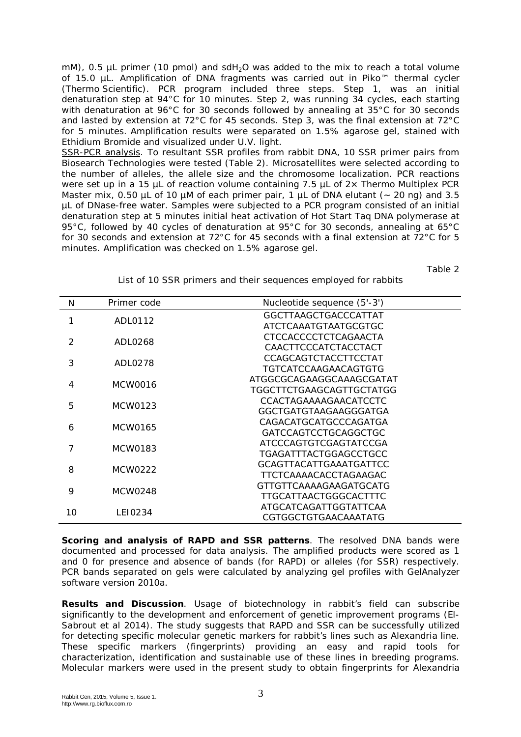mM), 0.5  $\mu$ L primer (10 pmol) and sdH<sub>2</sub>O was added to the mix to reach a total volume of 15.0 µL. Amplification of DNA fragments was carried out in Piko™ thermal cycler (Thermo Scientific). PCR program included three steps. Step 1, was an initial denaturation step at 94°C for 10 minutes. Step 2, was running 34 cycles, each starting with denaturation at 96°C for 30 seconds followed by annealing at 35°C for 30 seconds and lasted by extension at 72°C for 45 seconds. Step 3, was the final extension at 72°C for 5 minutes. Amplification results were separated on 1.5% agarose gel, stained with Ethidium Bromide and visualized under U.V. light.

*SSR-PCR analysis*. To resultant SSR profiles from rabbit DNA, 10 SSR primer pairs from Biosearch Technologies were tested (Table 2). Microsatellites were selected according to the number of alleles, the allele size and the chromosome localization. PCR reactions were set up in a 15  $\mu$ L of reaction volume containing 7.5  $\mu$ L of 2 $\times$  Thermo Multiplex PCR Master mix, 0.50 µL of 10 µM of each primer pair, 1 µL of DNA elutant ( $\sim$  20 ng) and 3.5 µL of DNase-free water. Samples were subjected to a PCR program consisted of an initial denaturation step at 5 minutes initial heat activation of Hot Start Taq DNA polymerase at 95°C, followed by 40 cycles of denaturation at 95°C for 30 seconds, annealing at 65°C for 30 seconds and extension at 72°C for 45 seconds with a final extension at 72°C for 5 minutes. Amplification was checked on 1.5% agarose gel.

Table 2

List of 10 SSR primers and their sequences employed for rabbits

| N            | Primer code    | Nucleotide sequence (5'-3') |
|--------------|----------------|-----------------------------|
| 1<br>ADL0112 |                | GGCTTAAGCTGACCCATTAT        |
|              |                | ATCTCAAATGTAATGCGTGC        |
| 2            | ADL0268        | CTCCACCCCTCTCAGAACTA        |
|              |                | CAACTTCCCATCTACCTACT        |
| 3            | ADL0278        | CCAGCAGTCTACCTTCCTAT        |
|              |                | TGTCATCCAAGAACAGTGTG        |
| 4            | <b>MCW0016</b> | ATGGCGCAGAAGGCAAAGCGATAT    |
|              |                | TGGCTTCTGAAGCAGTTGCTATGG    |
| 5            | MCW0123        | CCACTAGAAAAGAACATCCTC       |
|              |                | GGCTGATGTAAGAAGGGATGA       |
| 6            | MCW0165        | CAGACATGCATGCCCAGATGA       |
|              |                | GATCCAGTCCTGCAGGCTGC        |
| 7            | MCW0183        | ATCCCAGTGTCGAGTATCCGA       |
|              |                | TGAGATTTACTGGAGCCTGCC       |
| 8            | MCW0222        | GCAGTTACATTGAAATGATTCC      |
|              |                | TTCTCAAAACACCTAGAAGAC       |
| 9            | <b>MCW0248</b> | GTTGTTCAAAAGAAGATGCATG      |
|              |                | TTGCATTAACTGGGCACTTTC       |
| 10           | LE10234        | ATGCATCAGATTGGTATTCAA       |
|              |                | CGTGGCTGTGAACAAATATG        |

*Scoring and analysis of RAPD and SSR patterns*. The resolved DNA bands were documented and processed for data analysis. The amplified products were scored as 1 and 0 for presence and absence of bands (for RAPD) or alleles (for SSR) respectively. PCR bands separated on gels were calculated by analyzing gel profiles with GelAnalyzer software version 2010a.

**Results and Discussion**. Usage of biotechnology in rabbit's field can subscribe significantly to the development and enforcement of genetic improvement programs (El-Sabrout et al 2014). The study suggests that RAPD and SSR can be successfully utilized for detecting specific molecular genetic markers for rabbit's lines such as Alexandria line. These specific markers (fingerprints) providing an easy and rapid tools for characterization, identification and sustainable use of these lines in breeding programs. Molecular markers were used in the present study to obtain fingerprints for Alexandria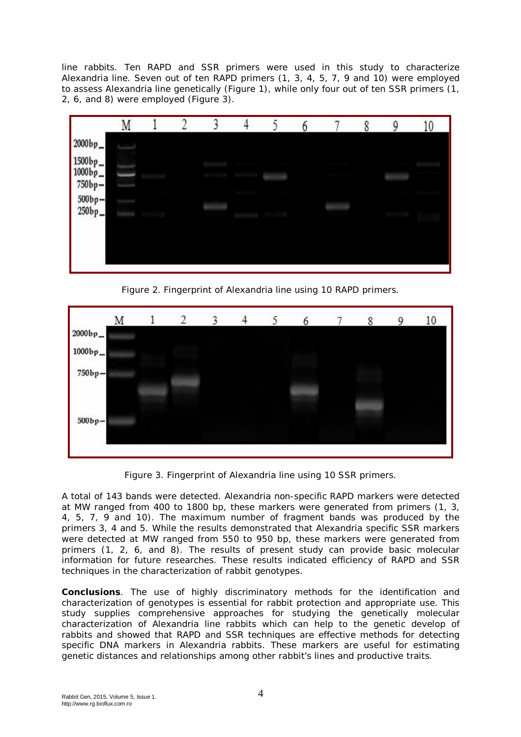line rabbits. Ten RAPD and SSR primers were used in this study to characterize Alexandria line. Seven out of ten RAPD primers (1, 3, 4, 5, 7, 9 and 10) were employed to assess Alexandria line genetically (Figure 1), while only four out of ten SSR primers (1, 2, 6, and 8) were employed (Figure 3).



Figure 2. Fingerprint of Alexandria line using 10 RAPD primers.



Figure 3. Fingerprint of Alexandria line using 10 SSR primers.

A total of 143 bands were detected. Alexandria non-specific RAPD markers were detected at MW ranged from 400 to 1800 bp, these markers were generated from primers (1, 3, 4, 5, 7, 9 and 10). The maximum number of fragment bands was produced by the primers 3, 4 and 5. While the results demonstrated that Alexandria specific SSR markers were detected at MW ranged from 550 to 950 bp, these markers were generated from primers (1, 2, 6, and 8). The results of present study can provide basic molecular information for future researches. These results indicated efficiency of RAPD and SSR techniques in the characterization of rabbit genotypes.

**Conclusions**. The use of highly discriminatory methods for the identification and characterization of genotypes is essential for rabbit protection and appropriate use. This study supplies comprehensive approaches for studying the genetically molecular characterization of Alexandria line rabbits which can help to the genetic develop of rabbits and showed that RAPD and SSR techniques are effective methods for detecting specific DNA markers in Alexandria rabbits. These markers are useful for estimating genetic distances and relationships among other rabbit's lines and productive traits.